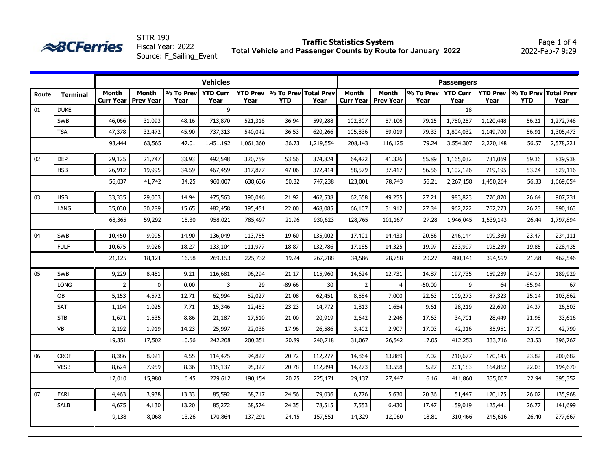|              | <b>ABCFerries</b> |                           |                           | Fiscal Year: 2022<br>Source: F_Sailing_Event |                         |                         |                                    | Traffic Statistics System |                                  |                                  | Total Vehicle and Passenger Counts by Route for January 2022 |                         |           |                                             | Page 1 or 4<br>2022-Feb-7 9:29 |
|--------------|-------------------|---------------------------|---------------------------|----------------------------------------------|-------------------------|-------------------------|------------------------------------|---------------------------|----------------------------------|----------------------------------|--------------------------------------------------------------|-------------------------|-----------|---------------------------------------------|--------------------------------|
|              |                   |                           |                           |                                              | <b>Vehicles</b>         |                         |                                    |                           | <b>Passengers</b>                |                                  |                                                              |                         |           |                                             |                                |
| <b>Route</b> | <b>Terminal</b>   | <b>Month</b><br>Curr Year | Month<br><b>Prev Year</b> | % To Prev<br>Year                            | <b>YTD Curr</b><br>Year | <b>YTD Prev</b><br>Year | % To Prev Total Prev<br><b>YTD</b> | Year                      | <b>Month</b><br><b>Curr Year</b> | <b>Month</b><br><b>Prev Year</b> | % To Prev<br>Year                                            | <b>YTD Curr</b><br>Year | Year      | YTD Prev % To Prev Total Prev<br><b>YTD</b> | Year                           |
| 01           | <b>DUKE</b>       |                           |                           |                                              | 9                       |                         |                                    |                           |                                  |                                  |                                                              | 18                      |           |                                             |                                |
|              | <b>SWB</b>        | 46,066                    | 31,093                    | 48.16                                        | 713,870                 | 521,318                 | 36.94                              | 599,288                   | 102,307                          | 57,106                           | 79.15                                                        | 1,750,257               | 1,120,448 | 56.21                                       | 1,272,748                      |
|              | <b>TSA</b>        | 47,378                    | 32,472                    | 45.90                                        | 737,313                 | 540,042                 | 36.53                              | 620,266                   | 105,836                          | 59,019                           | 79.33                                                        | 1,804,032               | 1,149,700 | 56.91                                       | 1,305,473                      |
|              |                   | 93,444                    | 63,565                    | 47.01                                        | 1,451,192               | 1,061,360               | 36.73                              | 1,219,554                 | 208,143                          | 116,125                          | 79.24                                                        | 3,554,307               | 2,270,148 | 56.57                                       | 2,578,221                      |
| 02           | <b>DEP</b>        | 29,125                    | 21,747                    | 33.93                                        | 492,548                 | 320,759                 | 53.56                              | 374,824                   | 64,422                           | 41,326                           | 55.89                                                        | 1,165,032               | 731,069   | 59.36                                       | 839,938                        |
|              | <b>HSB</b>        | 26,912                    | 19,995                    | 34.59                                        | 467,459                 | 317,877                 | 47.06                              | 372,414                   | 58,579                           | 37,417                           | 56.56                                                        | 1,102,126               | 719,195   | 53.24                                       | 829,116                        |
|              |                   | 56,037                    | 41,742                    | 34.25                                        | 960,007                 | 638,636                 | 50.32                              | 747,238                   | 123,001                          | 78,743                           | 56.21                                                        | 2,267,158               | 1,450,264 | 56.33                                       | 1,669,054                      |
| 03           | <b>HSB</b>        | 33,335                    | 29,003                    | 14.94                                        | 475,563                 | 390,046                 | 21.92                              | 462,538                   | 62,658                           | 49,255                           | 27.21                                                        | 983,823                 | 776,870   | 26.64                                       | 907,731                        |
|              | LANG              | 35,030                    | 30,289                    | 15.65                                        | 482,458                 | 395,451                 | 22.00                              | 468,085                   | 66,107                           | 51,912                           | 27.34                                                        | 962,222                 | 762,273   | 26.23                                       | 890,163                        |
|              |                   | 68,365                    | 59,292                    | 15.30                                        | 958,021                 | 785,497                 | 21.96                              | 930,623                   | 128,765                          | 101,167                          | 27.28                                                        | 1,946,045               | 1,539,143 | 26.44                                       | 1,797,894                      |
| 04           | <b>SWB</b>        | 10,450                    | 9,095                     | 14.90                                        | 136,049                 | 113,755                 | 19.60                              | 135,002                   | 17,401                           | 14,433                           | 20.56                                                        | 246,144                 | 199,360   | 23.47                                       | 234,111                        |
|              | <b>FULF</b>       | 10,675                    | 9,026                     | 18.27                                        | 133,104                 | 111,977                 | 18.87                              | 132,786                   | 17,185                           | 14,325                           | 19.97                                                        | 233,997                 | 195,239   | 19.85                                       | 228,435                        |
|              |                   | 21,125                    | 18,121                    | 16.58                                        | 269,153                 | 225,732                 | 19.24                              | 267,788                   | 34,586                           | 28,758                           | 20.27                                                        | 480,141                 | 394,599   | 21.68                                       | 462,546                        |
| 05           | <b>SWB</b>        | 9,229                     | 8,451                     | 9.21                                         | 116,681                 | 96,294                  | 21.17                              | 115,960                   | 14,624                           | 12,731                           | 14.87                                                        | 197,735                 | 159,239   | 24.17                                       | 189,929                        |
|              | <b>LONG</b>       | $\overline{2}$            | $\pmb{0}$                 | 0.00                                         | 3                       | 29                      | $-89.66$                           | 30                        | $\overline{2}$                   | $\overline{4}$                   | $-50.00$                                                     | 9                       | 64        | $-85.94$                                    | 67                             |
|              | OB                | 5,153                     | 4,572                     | 12.71                                        | 62,994                  | 52,027                  | 21.08                              | 62,451                    | 8,584                            | 7,000                            | 22.63                                                        | 109,273                 | 87,323    | 25.14                                       | 103,862                        |
|              | SAT               | 1,104                     | 1,025                     | 7.71                                         | 15,346                  | 12,453                  | 23.23                              | 14,772                    | 1,813                            | 1,654                            | 9.61                                                         | 28,219                  | 22,690    | 24.37                                       | 26,503                         |
|              | <b>STB</b>        | 1,671                     | 1,535                     | 8.86                                         | 21,187                  | 17,510                  | 21.00                              | 20,919                    | 2,642                            | 2,246                            | 17.63                                                        | 34,701                  | 28,449    | 21.98                                       | 33,616                         |
|              | <b>VB</b>         | 2,192                     | 1,919                     | 14.23                                        | 25,997                  | 22,038                  | 17.96                              | 26,586                    | 3,402                            | 2,907                            | 17.03                                                        | 42,316                  | 35,951    | 17.70                                       | 42,790                         |
|              |                   | 19,351                    | 17,502                    | 10.56                                        | 242,208                 | 200,351                 | 20.89                              | 240,718                   | 31,067                           | 26,542                           | 17.05                                                        | 412,253                 | 333,716   | 23.53                                       | 396,767                        |
| 06           | <b>CROF</b>       | 8,386                     | 8,021                     | 4.55                                         | 114,475                 | 94,827                  | 20.72                              | 112,277                   | 14,864                           | 13,889                           | 7.02                                                         | 210,677                 | 170,145   | 23.82                                       | 200,682                        |
|              | <b>VESB</b>       | 8,624                     | 7,959                     | 8.36                                         | 115,137                 | 95,327                  | 20.78                              | 112,894                   | 14,273                           | 13,558                           | 5.27                                                         | 201,183                 | 164,862   | 22.03                                       | 194,670                        |
|              |                   | 17,010                    | 15,980                    | 6.45                                         | 229,612                 | 190,154                 | 20.75                              | 225,171                   | 29,137                           | 27,447                           | 6.16                                                         | 411,860                 | 335,007   | 22.94                                       | 395,352                        |
| 07           | EARL              | 4,463                     | 3,938                     | 13.33                                        | 85,592                  | 68,717                  | 24.56                              | 79,036                    | 6,776                            | 5,630                            | 20.36                                                        | 151,447                 | 120,175   | 26.02                                       | 135,968                        |
|              | SALB              | 4,675                     | 4,130                     | 13.20                                        | 85,272                  | 68,574                  | 24.35                              | 78,515                    | 7,553                            | 6,430                            | 17.47                                                        | 159,019                 | 125,441   | 26.77                                       | 141,699                        |
|              |                   | 9,138                     | 8,068                     | 13.26                                        | 170,864                 | 137,291                 | 24.45                              | 157,551                   | 14,329                           | 12,060                           | 18.81                                                        | 310,466                 | 245,616   | 26.40                                       | 277,667                        |

**Traffic Statistics System**

Page 1 of 4

STTR 190

 $\triangle RCF$ erries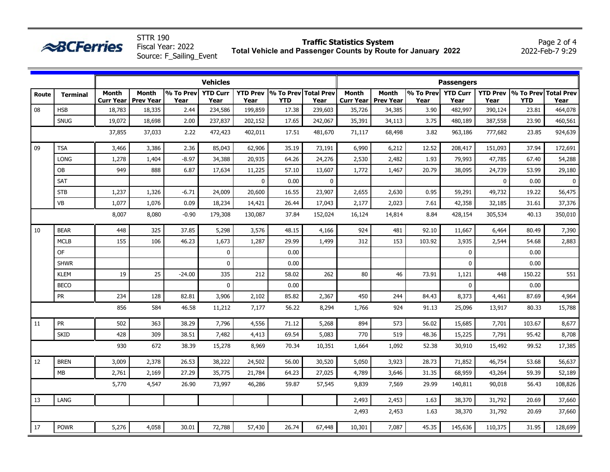|       | <b>ABCFerries</b> |                           |                                  | Fiscal Year: 2022<br>Source: F_Sailing_Event |                         |                         |                                    | <b>Traffic Statistics System</b> |                                  |                                  | Total Vehicle and Passenger Counts by Route for January 2022 |                         |              |                                             | Page 2 of 4<br>2022-Feb-7 9:29 |
|-------|-------------------|---------------------------|----------------------------------|----------------------------------------------|-------------------------|-------------------------|------------------------------------|----------------------------------|----------------------------------|----------------------------------|--------------------------------------------------------------|-------------------------|--------------|---------------------------------------------|--------------------------------|
|       |                   |                           |                                  |                                              | Vehicles                |                         |                                    |                                  |                                  |                                  |                                                              | <b>Passengers</b>       |              |                                             |                                |
| Route | <b>Terminal</b>   | <b>Month</b><br>Curr Year | <b>Month</b><br><b>Prev Year</b> | % To Prev<br>Year                            | <b>YTD Curr</b><br>Year | <b>YTD Prev</b><br>Year | % To Prev Total Prev<br><b>YTD</b> | Year                             | <b>Month</b><br><b>Curr Year</b> | <b>Month</b><br><b>Prev Year</b> | % To Prev<br>Year                                            | <b>YTD Curr</b><br>Year | Year         | YTD Prev % To Prev Total Prev<br><b>YTD</b> | Year                           |
| 08    | <b>HSB</b>        | 18,783                    | 18,335                           | 2.44                                         | 234,586                 | 199,859                 | 17.38                              | 239,603                          | 35,726                           | 34,385                           | 3.90                                                         | 482,997                 | 390,124      | 23.81                                       | 464,078                        |
|       | <b>SNUG</b>       | 19,072                    | 18,698                           | 2.00                                         | 237,837                 | 202,152                 | 17.65                              | 242,067                          | 35,391                           | 34,113                           | 3.75                                                         | 480,189                 | 387,558      | 23.90                                       | 460,561                        |
|       |                   | 37,855                    | 37,033                           | 2.22                                         | 472,423                 | 402,011                 | 17.51                              | 481,670                          | 71,117                           | 68,498                           | 3.82                                                         | 963,186                 | 777,682      | 23.85                                       | 924,639                        |
| 09    | <b>TSA</b>        | 3,466                     | 3,386                            | 2.36                                         | 85,043                  | 62,906                  | 35.19                              | 73,191                           | 6,990                            | 6,212                            | 12.52                                                        | 208,417                 | 151,093      | 37.94                                       | 172,691                        |
|       | <b>LONG</b>       | 1,278                     | 1,404                            | $-8.97$                                      | 34,388                  | 20,935                  | 64.26                              | 24,276                           | 2,530                            | 2,482                            | 1.93                                                         | 79,993                  | 47,785       | 67.40                                       | 54,288                         |
|       | OB                | 949                       | 888                              | 6.87                                         | 17,634                  | 11,225                  | 57.10                              | 13,607                           | 1,772                            | 1,467                            | 20.79                                                        | 38,095                  | 24,739       | 53.99                                       | 29,180                         |
|       | <b>SAT</b>        |                           |                                  |                                              |                         | $\mathbf 0$             | 0.00                               | 0                                |                                  |                                  |                                                              |                         | $\mathbf{0}$ | 0.00                                        | $\mathbf 0$                    |
|       | <b>STB</b>        | 1,237                     | 1,326                            | $-6.71$                                      | 24,009                  | 20,600                  | 16.55                              | 23,907                           | 2,655                            | 2,630                            | 0.95                                                         | 59,291                  | 49,732       | 19.22                                       | 56,475                         |
|       | VB                | 1,077                     | 1,076                            | 0.09                                         | 18,234                  | 14,421                  | 26.44                              | 17,043                           | 2,177                            | 2,023                            | 7.61                                                         | 42,358                  | 32,185       | 31.61                                       | 37,376                         |
|       |                   | 8,007                     | 8,080                            | $-0.90$                                      | 179,308                 | 130,087                 | 37.84                              | 152,024                          | 16,124                           | 14,814                           | 8.84                                                         | 428,154                 | 305,534      | 40.13                                       | 350,010                        |
| 10    | <b>BEAR</b>       | 448                       | 325                              | 37.85                                        | 5,298                   | 3,576                   | 48.15                              | 4,166                            | 924                              | 481                              | 92.10                                                        | 11,667                  | 6,464        | 80.49                                       | 7,390                          |
|       | <b>MCLB</b>       | 155                       | 106                              | 46.23                                        | 1,673                   | 1,287                   | 29.99                              | 1,499                            | 312                              | 153                              | 103.92                                                       | 3,935                   | 2,544        | 54.68                                       | 2,883                          |
|       | <b>OF</b>         |                           |                                  |                                              | 0                       |                         | 0.00                               |                                  |                                  |                                  |                                                              | $\mathbf 0$             |              | 0.00                                        |                                |
|       | <b>SHWR</b>       |                           |                                  |                                              | $\mathbf 0$             |                         | 0.00                               |                                  |                                  |                                  |                                                              | $\mathbf{0}$            |              | 0.00                                        |                                |
|       | <b>KLEM</b>       | 19                        | 25                               | $-24.00$                                     | 335                     | 212                     | 58.02                              | 262                              | 80                               | 46                               | 73.91                                                        | 1,121                   | 448          | 150.22                                      | 551                            |
|       | <b>BECO</b>       |                           |                                  |                                              | $\mathbf 0$             |                         | 0.00                               |                                  |                                  |                                  |                                                              | $\mathbf{0}$            |              | 0.00                                        |                                |
|       | <b>PR</b>         | 234                       | 128                              | 82.81                                        | 3,906                   | 2,102                   | 85.82                              | 2,367                            | 450                              | 244                              | 84.43                                                        | 8,373                   | 4,461        | 87.69                                       | 4,964                          |
|       |                   | 856                       | 584                              | 46.58                                        | 11,212                  | 7,177                   | 56.22                              | 8,294                            | 1,766                            | 924                              | 91.13                                                        | 25,096                  | 13,917       | 80.33                                       | 15,788                         |
| 11    | ${\sf PR}$        | 502                       | 363                              | 38.29                                        | 7,796                   | 4,556                   | 71.12                              | 5,268                            | 894                              | 573                              | 56.02                                                        | 15,685                  | 7,701        | 103.67                                      | 8,677                          |
|       | <b>SKID</b>       | 428                       | 309                              | 38.51                                        | 7,482                   | 4,413                   | 69.54                              | 5,083                            | 770                              | 519                              | 48.36                                                        | 15,225                  | 7,791        | 95.42                                       | 8,708                          |
|       |                   | 930                       | 672                              | 38.39                                        | 15,278                  | 8,969                   | 70.34                              | 10,351                           | 1,664                            | 1,092                            | 52.38                                                        | 30,910                  | 15,492       | 99.52                                       | 17,385                         |
| 12    | <b>BREN</b>       | 3,009                     | 2,378                            | 26.53                                        | 38,222                  | 24,502                  | 56.00                              | 30,520                           | 5,050                            | 3,923                            | 28.73                                                        | 71,852                  | 46,754       | 53.68                                       | 56,637                         |
|       | МB                | 2,761                     | 2,169                            | 27.29                                        | 35,775                  | 21,784                  | 64.23                              | 27,025                           | 4,789                            | 3,646                            | 31.35                                                        | 68,959                  | 43,264       | 59.39                                       | 52,189                         |
|       |                   | 5,770                     | 4,547                            | 26.90                                        | 73,997                  | 46,286                  | 59.87                              | 57,545                           | 9,839                            | 7,569                            | 29.99                                                        | 140,811                 | 90,018       | 56.43                                       | 108,826                        |
| 13    | LANG              |                           |                                  |                                              |                         |                         |                                    |                                  | 2,493                            | 2,453                            | 1.63                                                         | 38,370                  | 31,792       | 20.69                                       | 37,660                         |
|       |                   |                           |                                  |                                              |                         |                         |                                    |                                  | 2,493                            | 2,453                            | 1.63                                                         | 38,370                  | 31,792       | 20.69                                       | 37,660                         |
| 17    | <b>POWR</b>       | 5,276                     | 4,058                            | 30.01                                        | 72,788                  | 57,430                  | 26.74                              | 67,448                           | 10,301                           | 7,087                            | 45.35                                                        | 145,636                 | 110,375      | 31.95                                       | 128,699                        |

**Traffic Statistics System**

Page 2 of 4

STTR 190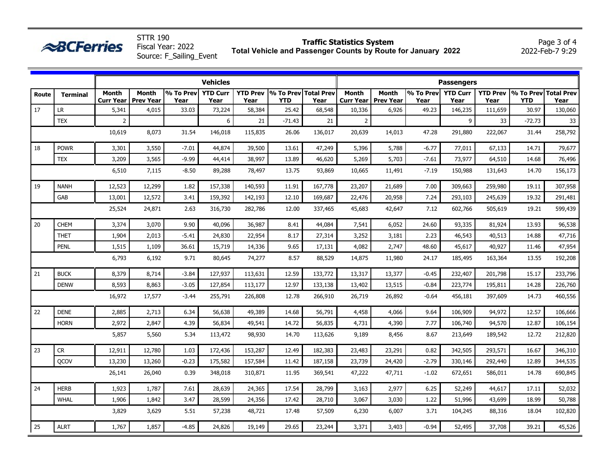|       | $\approx$ BCFerries |                    |                    | <b>STTR 190</b><br>Fiscal Year: 2022<br>Source: F_Sailing_Event |                         | <b>Traffic Statistics System</b><br>Total Vehicle and Passenger Counts by Route for January 2022 |            |                              |              |                                       |                    |                         |         | Page 3 of 4<br>2022-Feb-7 9:29                |         |  |  |
|-------|---------------------|--------------------|--------------------|-----------------------------------------------------------------|-------------------------|--------------------------------------------------------------------------------------------------|------------|------------------------------|--------------|---------------------------------------|--------------------|-------------------------|---------|-----------------------------------------------|---------|--|--|
|       |                     |                    |                    |                                                                 | <b>Vehicles</b>         |                                                                                                  |            |                              |              |                                       |                    | <b>Passengers</b>       |         |                                               |         |  |  |
| Route | <b>Terminal</b>     | Month<br>Curr Year | Month<br>Prev Year | % To Prev<br>Year                                               | <b>YTD Curr</b><br>Year | <b>YTD Prev</b><br>Year                                                                          | <b>YTD</b> | % To Prev Total Prev<br>Year | <b>Month</b> | <b>Month</b><br>Curr Year   Prev Year | % To Prevl<br>Year | <b>YTD Curr</b><br>Year | Year    | <b>YTD Prev 1% To Prev Total Prev</b><br>YTD. | Year    |  |  |
| 17    | LR                  | 5,341              | 4,015              | 33.03                                                           | 73,224                  | 58,384                                                                                           | 25.42      | 68,548                       | 10,336       | 6,926                                 | 49.23              | 146,235                 | 111,659 | 30.97                                         | 130,060 |  |  |
|       | <b>TEX</b>          |                    |                    |                                                                 | 6                       | 21                                                                                               | $-71.43$   | 21                           | $\mathbf{2}$ |                                       |                    | 9                       | 33      | $-72.73$                                      | 33      |  |  |
|       |                     | 10,619             | 8.073              | 31.54                                                           | 146,018                 | 115,835                                                                                          | 26.06      | 136,017                      | 20,639       | 14,013                                | 47.28              | 291,880                 | 222,067 | 31.44                                         | 258,792 |  |  |
| 18    | <b>POWR</b>         | 3,301              | 3,550              | $-7.01$                                                         | 44,874                  | 39,500                                                                                           | 13.61      | 47,249                       | 5,396        | 5,788                                 | $-6.77$            | 77,011                  | 67,133  | 14.71                                         | 79,677  |  |  |
|       | <b>TEX</b>          | 3,209              | 3,565              | $-9.99$                                                         | 44,414                  | 38,997                                                                                           | 13.89      | 46,620                       | 5,269        | 5,703                                 | $-7.61$            | 73,977                  | 64,510  | 14.68                                         | 76,496  |  |  |
|       |                     | 6,510              | 7,115              | $-8.50$                                                         | 89,288                  | 78,497                                                                                           | 13.75      | 93,869                       | 10,665       | 11,491                                | $-7.19$            | 150,988                 | 131,643 | 14.70                                         | 156,173 |  |  |

|    |             | 6,510  | 7,115  | $-8.50$ | 89,288  | 78,497  | 13.75 | 93,869  | 10,665 | 11,491 | $-7.19$ | 150,988 | 131,643 | 14.70 | 156,173 |
|----|-------------|--------|--------|---------|---------|---------|-------|---------|--------|--------|---------|---------|---------|-------|---------|
| 19 | <b>NANH</b> | 12,523 | 12,299 | 1.82    | 157,338 | 140,593 | 11.91 | 167,778 | 23,207 | 21,689 | 7.00    | 309,663 | 259,980 | 19.11 | 307,958 |
|    | GAB         | 13,001 | 12,572 | 3.41    | 159,392 | 142,193 | 12.10 | 169,687 | 22,476 | 20,958 | 7.24    | 293,103 | 245,639 | 19.32 | 291,481 |
|    |             | 25,524 | 24,871 | 2.63    | 316,730 | 282,786 | 12.00 | 337,465 | 45,683 | 42,647 | 7.12    | 602,766 | 505,619 | 19.21 | 599,439 |
| 20 | <b>CHEM</b> | 3,374  | 3,070  | 9.90    | 40,096  | 36,987  | 8.41  | 44,084  | 7,541  | 6,052  | 24.60   | 93,335  | 81,924  | 13.93 | 96,538  |
|    | <b>THET</b> | 1,904  | 2,013  | $-5.41$ | 24,830  | 22,954  | 8.17  | 27,314  | 3,252  | 3,181  | 2.23    | 46,543  | 40,513  | 14.88 | 47,716  |
|    | <b>PENL</b> | 1,515  | 1,109  | 36.61   | 15,719  | 14,336  | 9.65  | 17,131  | 4,082  | 2,747  | 48.60   | 45,617  | 40,927  | 11.46 | 47,954  |
|    |             | 6,793  | 6,192  | 9.71    | 80,645  | 74,277  | 8.57  | 88,529  | 14,875 | 11,980 | 24.17   | 185,495 | 163,364 | 13.55 | 192,208 |
| 21 | <b>BUCK</b> | 8,379  | 8,714  | $-3.84$ | 127,937 | 113,631 | 12.59 | 133,772 | 13,317 | 13,377 | $-0.45$ | 232,407 | 201,798 | 15.17 | 233,796 |
|    | <b>DENW</b> | 8,593  | 8,863  | $-3.05$ | 127,854 | 113,177 | 12.97 | 133,138 | 13,402 | 13,515 | $-0.84$ | 223,774 | 195,811 | 14.28 | 226,760 |
|    |             | 16,972 | 17,577 | $-3.44$ | 255,791 | 226,808 | 12.78 | 266,910 | 26,719 | 26,892 | $-0.64$ | 456,181 | 397,609 | 14.73 | 460,556 |
| 22 | <b>DENE</b> | 2,885  | 2,713  | 6.34    | 56,638  | 49,389  | 14.68 | 56,791  | 4,458  | 4,066  | 9.64    | 106,909 | 94,972  | 12.57 | 106,666 |
|    | <b>HORN</b> | 2,972  | 2,847  | 4.39    | 56,834  | 49,541  | 14.72 | 56,835  | 4,731  | 4,390  | 7.77    | 106,740 | 94,570  | 12.87 | 106,154 |
|    |             | 5,857  | 5,560  | 5.34    | 113,472 | 98,930  | 14.70 | 113,626 | 9,189  | 8,456  | 8.67    | 213,649 | 189,542 | 12.72 | 212,820 |
| 23 | ${\sf CR}$  | 12,911 | 12,780 | 1.03    | 172,436 | 153,287 | 12.49 | 182,383 | 23,483 | 23,291 | 0.82    | 342,505 | 293,571 | 16.67 | 346,310 |
|    | <b>OCOV</b> | 13,230 | 13,260 | $-0.23$ | 175,582 | 157,584 | 11.42 | 187,158 | 23,739 | 24,420 | $-2.79$ | 330,146 | 292,440 | 12.89 | 344,535 |
|    |             | 26,141 | 26,040 | 0.39    | 348,018 | 310,871 | 11.95 | 369,541 | 47,222 | 47,711 | $-1.02$ | 672,651 | 586,011 | 14.78 | 690,845 |
| 24 | <b>HERB</b> | 1,923  | 1,787  | 7.61    | 28,639  | 24,365  | 17.54 | 28,799  | 3,163  | 2,977  | 6.25    | 52,249  | 44,617  | 17.11 | 52,032  |
|    | <b>WHAL</b> | 1,906  | 1,842  | 3.47    | 28,599  | 24,356  | 17.42 | 28,710  | 3,067  | 3,030  | 1.22    | 51,996  | 43,699  | 18.99 | 50,788  |
|    |             | 3,829  | 3,629  | 5.51    | 57,238  | 48,721  | 17.48 | 57,509  | 6,230  | 6,007  | 3.71    | 104,245 | 88,316  | 18.04 | 102,820 |
| 25 | <b>ALRT</b> | 1,767  | 1,857  | $-4.85$ | 24,826  | 19,149  | 29.65 | 23,244  | 3,371  | 3,403  | $-0.94$ | 52,495  | 37,708  | 39.21 | 45,526  |